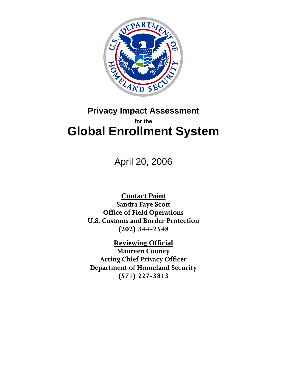

# **Privacy Impact Assessment for the Global Enrollment System**

April 20, 2006

**Contact Point Sandra Faye Scott Office of Field Operations U.S. Customs and Border Protection (202) 344-2548** 

**Reviewing Official Maureen Cooney Acting Chief Privacy Officer Department of Homeland Security (571) 227-3813**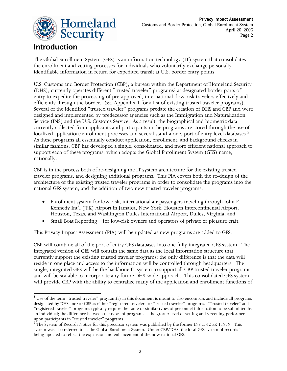

## **Introduction**

The Global Enrollment System (GES) is an information technology (IT) system that consolidates the enrollment and vetting processes for individuals who voluntarily exchange personally identifiable information in return for expedited transit at U.S. border entry points.

U.S. Customs and Border Protection (CBP), a bureau within the Department of Homeland Security (DHS), currently operates different "trusted traveler" programs<sup>1</sup> at designated border ports of entry to expedite the processing of pre-approved, international, low-risk travelers effectively and efficiently through the border. (*see*, Appendix 1 for a list of existing trusted traveler programs). Several of the identified "trusted traveler" programs predate the creation of DHS and CBP and were designed and implemented by predecessor agencies such as the Immigration and Naturalization Service (INS) and the U.S. Customs Service. As a result, the biographical and biometric data currently collected from applicants and participants in the programs are stored through the use of localized application/enrollment processes and several stand-alone, port of entry level databases.<sup>2</sup> As these programs all essentially conduct application, enrollment, and background checks in similar fashions, CBP has developed a single, consolidated, and more efficient national approach to support each of these programs, which adopts the Global Enrollment System (GES) name, nationally.

CBP is in the process both of re-designing the IT system architecture for the existing trusted traveler programs, and designing additional programs. This PIA covers both the re-design of the architecture of the existing trusted traveler programs in order to consolidate the programs into the national GES system, and the addition of two new trusted traveler programs:

- Enrollment system for low-risk, international air passengers traveling through John F. Kennedy Int'l (JFK) Airport in Jamaica, New York, Houston Intercontinental Airport, Houston, Texas, and Washington Dulles International Airport, Dulles, Virginia, and
- Small Boat Reporting for low-risk owners and operators of private or pleasure craft.

This Privacy Impact Assessment (PIA) will be updated as new programs are added to GES.

CBP will combine all of the port of entry GES databases into one fully integrated GES system. The integrated version of GES will contain the same data as the local information structure that currently support the existing trusted traveler programs; the only difference is that the data will reside in one place and access to the information will be controlled through headquarters. The single, integrated GES will be the backbone IT system to support all CBP trusted traveler programs and will be scalable to incorporate any future DHS-wide approach. This consolidated GES system will provide CBP with the ability to centralize many of the application and enrollment functions of

 $\overline{a}$ <sup>1</sup> Use of the term "trusted traveler" program(s) in this document is meant to also encompass and include all programs designated by DHS and/or CBP as either "registered traveler" or "trusted traveler" programs. "Trusted traveler" and "registered traveler" programs typically require the same or similar types of personnel information to be submitted by an individual; the difference between the types of programs is the greater level of vetting and screening performed upon participants in "trusted traveler" programs.

<sup>&</sup>lt;sup>2</sup> The System of Records Notice for this precursor system was published by the former INS at 62 FR 11919. This system was also referred to as the Global Enrollment System. Under CBP/DHS, the local GES system of records is being updated to reflect the expansion and enhancement of the now national GES.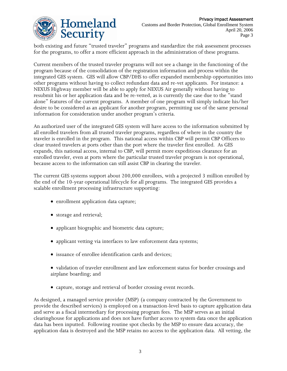

both existing and future "trusted traveler" programs and standardize the risk assessment processes for the programs, to offer a more efficient approach in the administration of these programs.

Current members of the trusted traveler programs will not see a change in the functioning of the program because of the consolidation of the registration information and process within the integrated GES system. GES will allow CBP/DHS to offer expanded membership opportunities into other programs without having to collect redundant data and re-vet applicants. For instance: a NEXUS Highway member will be able to apply for NEXUS Air generally without having to resubmit his or her application data and be re-vetted, as is currently the case due to the "stand alone" features of the current programs. A member of one program will simply indicate his/her desire to be considered as an applicant for another program, permitting use of the same personal information for consideration under another program's criteria.

An authorized user of the integrated GES system will have access to the information submitted by all enrolled travelers from all trusted traveler programs, regardless of where in the country the traveler is enrolled in the program. This national access within CBP will permit CBP Officers to clear trusted travelers at ports other than the port where the traveler first enrolled. As GES expands, this national access, internal to CBP, will permit more expeditious clearance for an enrolled traveler, even at ports where the particular trusted traveler program is not operational, because access to the information can still assist CBP in clearing the traveler.

The current GES systems support about 200,000 enrollees, with a projected 3 million enrolled by the end of the 10-year operational lifecycle for all programs. The integrated GES provides a scalable enrollment processing infrastructure supporting:

- enrollment application data capture;
- storage and retrieval;
- applicant biographic and biometric data capture;
- applicant vetting via interfaces to law enforcement data systems;
- issuance of enrollee identification cards and devices;
- validation of traveler enrollment and law enforcement status for border crossings and airplane boarding; and
- capture, storage and retrieval of border crossing event records.

As designed, a managed service provider (MSP) (a company contracted by the Government to provide the described services) is employed on a transaction-level basis to capture application data and serve as a fiscal intermediary for processing program fees. The MSP serves as an initial clearinghouse for applications and does not have further access to system data once the application data has been inputted. Following routine spot checks by the MSP to ensure data accuracy, the application data is destroyed and the MSP retains no access to the application data. All vetting, the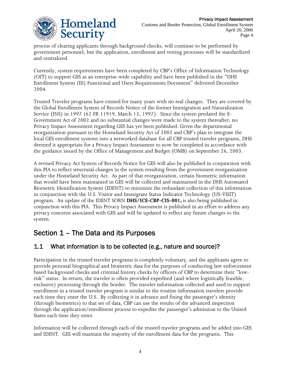

process of clearing applicants through background checks, will continue to be performed by government personnel, but the application, enrollment and vetting processes will be standardized and centralized.

Currently, system requirements have been completed by CBP's Office of Information Technology (OIT) to support GES as an enterprise-wide capability and have been published in the "DHS Enrollment System (ES) Functional and Users Requirements Document" delivered December 2004.

Trusted Traveler programs have existed for many years with no real changes. They are covered by the Global Enrollment System of Records Notice of the former Immigration and Naturalization Service (INS) in 1997 (62 FR 11919, March 13, 1997). Since the system predated the E-Government Act of 2002 and no substantial changes were made to the system thereafter, no Privacy Impact Assessment regarding GES has yet been published. Given the departmental reorganization pursuant to the Homeland Security Act of 2002 and CBP's plan to integrate the local GES enrollment systems into a networked database for all CBP trusted traveler programs, DHS deemed it appropriate for a Privacy Impact Assessment to now be completed in accordance with the guidance issued by the Office of Management and Budget (OMB) on September 26, 2003.

A revised Privacy Act System of Records Notice for GES will also be published in conjunction with this PIA to reflect structural changes in the system resulting from the government reorganization under the Homeland Security Act. As part of that reorganization, certain biometric information that would have been maintained in GES will be collected and maintained in the DHS Automated Biometric Identification System (IDENT) to minimize the redundant collection of this information in conjunction with the U.S. Visitor and Immigrant Status Indicator Technology (US-VISIT) program. An update of the IDENT SORN **DHS/ICE-CBP-CIS-001,** is also being published in conjunction with this PIA. This Privacy Impact Assessment is published in an effort to address any privacy concerns associated with GES and will be updated to reflect any future changes to the system.

## Section 1 – The Data and its Purposes

### 1.1 What information is to be collected (e.g., nature and source)?

Participation in the trusted traveler programs is completely voluntary, and the applicants agree to provide personal biographical and biometric data for the purposes of conducting law enforcement based background checks and criminal history checks by officers of CBP to determine their "lowrisk" status. In return, the traveler is often provided expedited (and where logistically feasible, exclusive) processing through the border. The traveler information collected and used to support enrollment in a trusted traveler program is similar to the routine information travelers provide each time they enter the U.S. By collecting it in advance and fixing the passenger's identity (through biometrics) to that set of data, CBP can use the results of the advanced inspection through the application/enrollment process to expedite the passenger's admission to the United States each time they enter.

Information will be collected through each of the trusted traveler programs and be added into GES and IDENT. GES will maintain the majority of the enrollment data for the programs. This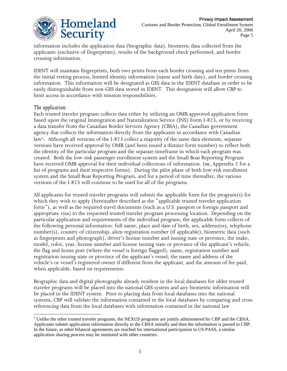

information includes the application data (biographic data), biometric data collected from the applicants (exclusive of fingerprints), results of the background check performed, and border crossing information.

IDENT will maintain fingerprints, both two prints from each border crossing and ten prints from the initial vetting process, limited identity information (name and birth date), and border crossing information. This information will be designated as GES data in the IDENT database in order to be easily distinguishable from non-GES data stored in IDENT. This designation will allow CBP to limit access in accordance with mission responsibilities.

#### *The application:*

 $\overline{a}$ 

Each trusted traveler program collects data either by utilizing an OMB approved application form based upon the original Immigration and Naturalization Service (INS) Form I-823, or by receiving a data transfer from the Canadian Border Services Agency (CBSA), the Canadian government agency that collects the information directly from the applicants in accordance with Canadian law3. Although all versions of the I-823 collect a majority of the same data elements, separate versions have received approval by OMB (and been issued a distinct form number) to reflect both the identity of the particular program and the separate timeframe in which each program was created. Both the low-risk passenger enrollment system and the Small Boat Reporting Program have received OMB approval for their individual collections of information. (*see*, Appendix 2 for a list of programs and their respective forms). During the pilot phase of both low-risk enrollment system and the Small Boat Reporting Program, and for a period of time thereafter, the various versions of the I-823 will continue to be used for all of the programs.

All applicants for trusted traveler programs will submit the applicable form for the program(s) for which they wish to apply (hereinafter described as the "applicable trusted traveler application form"), as well as the required travel documents (such as a U.S. passport or foreign passport and appropriate visa) to the requested trusted traveler program processing location.Depending on the particular application and requirements of the individual program, the applicable form collects of the following personal information: full name, place and date of birth, sex, address(es), telephone number(s), country of citizenship, alien registration number (if applicable), biometric data (such as fingerprints and photograph), driver's license number and issuing state or province, the make, model, color, year, license number and license issuing state or province of the applicant's vehicle, the flag and home port (where the vessel is foreign flagged), name, registration number and registration issuing state or province of the applicant's vessel, the name and address of the vehicle's or vessel's registered owner if different from the applicant, and the amount of fee paid, when applicable, based on requirements.

Biographic data and digital photographs already resident in the local databases for older trusted traveler programs will be placed into the national GES system and any biometric information will be placed in the IDENT system. Prior to placing data from local databases into the national systems, CBP will validate the information contained in the local databases by comparing and cross referencing data from the local databases with information contained in the national law

 $3$  Unlike the other trusted traveler programs, the NEXUS programs are jointly administered by CBP and the CBSA. Applicants submit application information directly to the CBSA initially and then the information is passed to CBP. In the future, as other bilateral agreements are reached for international participation in US PASS, a similar application sharing process may be instituted with other countries.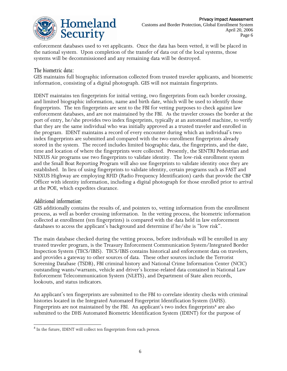

enforcement databases used to vet applicants. Once the data has been vetted, it will be placed in the national system. Upon completion of the transfer of data out of the local systems, those systems will be decommissioned and any remaining data will be destroyed.

#### *The biometric data:*

GES maintains full biographic information collected from trusted traveler applicants, and biometric information, consisting of a digital photograph. GES will not maintain fingerprints.

IDENT maintains ten fingerprints for initial vetting, two fingerprints from each border crossing, and limited biographic information, name and birth date, which will be used to identify those fingerprints. The ten fingerprints are sent to the FBI for vetting purposes to check against law enforcement databases, and are not maintained by the FBI. As the traveler crosses the border at the port of entry, he/she provides two index fingerprints, typically at an automated machine, to verify that they are the same individual who was initially approved as a trusted traveler and enrolled in the program. IDENT maintains a record of every encounter during which an individual's two index fingerprints are submitted and compared with the two enrollment fingerprints already stored in the system. The record includes limited biographic data, the fingerprints, and the date, time and location of where the fingerprints were collected. Presently, the SENTRI Pedestrian and NEXUS Air programs use two fingerprints to validate identity. The low-risk enrollment system and the Small Boat Reporting Program will also use fingerprints to validate identity once they are established. In lieu of using fingerprints to validate identity, certain programs such as FAST and NEXUS Highway are employing RFID (Radio Frequency Identification) cards that provide the CBP Officer with identity information, including a digital photograph for those enrolled prior to arrival at the POE, which expedites clearance.

#### *Additional information:*

GES additionally contains the results of, and pointers to, vetting information from the enrollment process, as well as border crossing information. In the vetting process, the biometric information collected at enrollment (ten fingerprints) is compared with the data held in law enforcement databases to access the applicant's background and determine if he/she is "low risk".

The main database checked during the vetting process, before individuals will be enrolled in any trusted traveler program, is the Treasury Enforcement Communication System/Integrated Border Inspection System (TECS/IBIS). TECS/IBIS contains historical and enforcement data on travelers, and provides a gateway to other sources of data. These other sources include the Terrorist Screening Database (TSDB), FBI criminal history and National Crime Information Center (NCIC) outstanding wants/warrants, vehicle and driver's license-related data contained in National Law Enforcement Telecommunication System (NLETS), and Department of State alien records, lookouts, and status indicators.

An applicant's ten fingerprints are submitted to the FBI to correlate identity checks with criminal histories located in the Integrated Automated Fingerprint Identification System (IAFIS). Fingerprints are not maintained by the FBI. An applicant's two index fingerprints<sup>4</sup> are also submitted to the DHS Automated Biometric Identification System (IDENT) for the purpose of

l <sup>4</sup> In the future, IDENT will collect ten fingerprints from each person.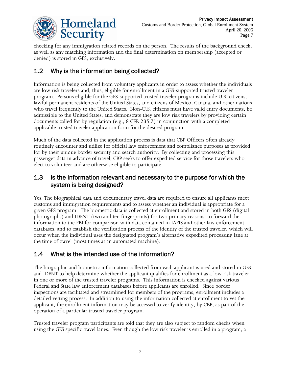

checking for any immigration related records on the person. The results of the background check, as well as any matching information and the final determination on membership (accepted or denied) is stored in GES, exclusively.

## 1.2 Why is the information being collected?

Information is being collected from voluntary applicants in order to assess whether the individuals are low risk travelers and, thus, eligible for enrollment in a GES-supported trusted traveler program. Persons eligible for the GES-supported trusted traveler programs include U.S. citizens, lawful permanent residents of the United States, and citizens of Mexico, Canada, and other nations who travel frequently to the United States. Non-U.S. citizens must have valid entry documents, be admissible to the United States, and demonstrate they are low risk travelers by providing certain documents called for by regulation (e.g., 8 CFR 235.7) in conjunction with a completed applicable trusted traveler application form for the desired program.

Much of the data collected in the application process is data that CBP Officers often already routinely encounter and utilize for official law enforcement and compliance purposes as provided for by their unique border security and search authority. By collecting and processing this passenger data in advance of travel, CBP seeks to offer expedited service for those travelers who elect to volunteer and are otherwise eligible to participate.

### 1.3 Is the information relevant and necessary to the purpose for which the system is being designed?

Yes. The biographical data and documentary travel data are required to ensure all applicants meet customs and immigration requirements and to assess whether an individual is appropriate for a given GES program. The biometric data is collected at enrollment and stored in both GES (digital photographs) and IDENT (two and ten fingerprints) for two primary reasons: to forward the information to the FBI for comparison with data contained in IAFIS and other law enforcement databases, and to establish the verification process of the identity of the trusted traveler, which will occur when the individual uses the designated program's alternative expedited processing lane at the time of travel (most times at an automated machine).

## 1.4 What is the intended use of the information?

The biographic and biometric information collected from each applicant is used and stored in GES and IDENT to help determine whether the applicant qualifies for enrollment as a low risk traveler in one or more of the trusted traveler programs. This information is checked against various Federal and State law enforcement databases before applicants are enrolled. Since border inspections are facilitated and streamlined for members of the programs, enrollment includes a detailed vetting process. In addition to using the information collected at enrollment to vet the applicant, the enrollment information may be accessed to verify identity, by CBP, as part of the operation of a particular trusted traveler program.

Trusted traveler program participants are told that they are also subject to random checks when using the GES specific travel lanes. Even though the low risk traveler is enrolled in a program, a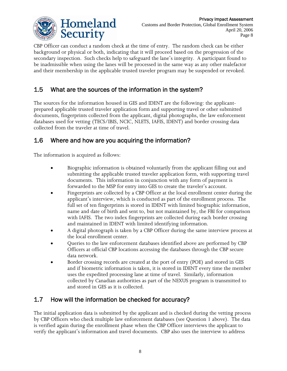

CBP Officer can conduct a random check at the time of entry. The random check can be either background or physical or both, indicating that it will proceed based on the progression of the secondary inspection. Such checks help to safeguard the lane's integrity. A participant found to be inadmissible when using the lanes will be processed in the same way as any other malefactor and their membership in the applicable trusted traveler program may be suspended or revoked.

### 1.5 What are the sources of the information in the system?

The sources for the information housed in GES and IDENT are the following: the applicantprepared applicable trusted traveler application form and supporting travel or other submitted documents, fingerprints collected from the applicant, digital photographs, the law enforcement databases used for vetting (TECS/IBIS, NCIC, NLETS, IAFIS, IDENT) and border crossing data collected from the traveler at time of travel.

### 1.6 Where and how are you acquiring the information?

The information is acquired as follows:

- Biographic information is obtained voluntarily from the applicant filling out and submitting the applicable trusted traveler application form, with supporting travel documents. This information in conjunction with any form of payment is forwarded to the MSP for entry into GES to create the traveler's account.
- Fingerprints are collected by a CBP Officer at the local enrollment center during the applicant's interview, which is conducted as part of the enrollment process. The full set of ten fingerprints is stored in IDENT with limited biographic information, name and date of birth and sent to, but not maintained by, the FBI for comparison with IAFIS. The two index fingerprints are collected during each border crossing and maintained in IDENT with limited identifying information.
- A digital photograph is taken by a CBP Officer during the same interview process at the local enrollment center.
- Queries to the law enforcement databases identified above are performed by CBP Officers at official CBP locations accessing the databases through the CBP secure data network.
- Border crossing records are created at the port of entry (POE) and stored in GES and if biometric information is taken, it is stored in IDENT every time the member uses the expedited processing lane at time of travel. Similarly, information collected by Canadian authorities as part of the NEXUS program is transmitted to and stored in GES as it is collected.

### 1.7 How will the information be checked for accuracy?

The initial application data is submitted by the applicant and is checked during the vetting process by CBP Officers who check multiple law enforcement databases (see Question 1 above). The data is verified again during the enrollment phase when the CBP Officer interviews the applicant to verify the applicant's information and travel documents. CBP also uses the interview to address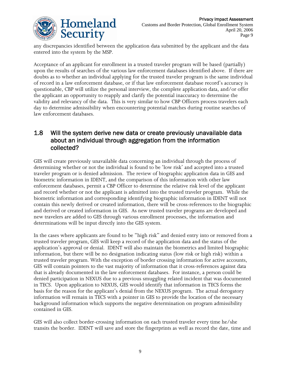

any discrepancies identified between the application data submitted by the applicant and the data entered into the system by the MSP.

Acceptance of an applicant for enrollment in a trusted traveler program will be based (partially) upon the results of searches of the various law enforcement databases identified above. If there are doubts as to whether an individual applying for the trusted traveler program is the same individual of record in a law enforcement database, or if that law enforcement database record's accuracy is questionable, CBP will utilize the personal interview, the complete application data, and/or offer the applicant an opportunity to reapply and clarify the potential inaccuracy to determine the validity and relevancy of the data. This is very similar to how CBP Officers process travelers each day to determine admissibility when encountering potential matches during routine searches of law enforcement databases.

### 1.8 Will the system derive new data or create previously unavailable data about an individual through aggregation from the information collected?

GES will create previously unavailable data concerning an individual through the process of determining whether or not the individual is found to be 'low risk' and accepted into a trusted traveler program or is denied admission. The review of biographic application data in GES and biometric information in IDENT, and the comparison of this information with other law enforcement databases, permit a CBP Officer to determine the relative risk level of the applicant and record whether or not the applicant is admitted into the trusted traveler program. While the biometric information and corresponding identifying biographic information in IDENT will not contain this newly derived or created information, there will be cross-references to the biographic and derived or created information in GES. As new trusted traveler programs are developed and new travelers are added to GES through various enrollment processes, the information and determinations will be input directly into the GES system.

In the cases where applicants are found to be "high risk" and denied entry into or removed from a trusted traveler program, GES will keep a record of the application data and the status of the application's approval or denial. IDENT will also maintain the biometrics and limited biographic information, but there will be no designation indicating status (low risk or high risk) within a trusted traveler program. With the exception of border crossing information for active accounts, GES will contain pointers to the vast majority of information that it cross-references against data that is already documented in the law enforcement databases. For instance, a person could be denied participation in NEXUS due to a previous smuggling related incident that was documented in TECS. Upon application to NEXUS, GES would identify that information in TECS forms the basis for the reason for the applicant's denial from the NEXUS program. The actual derogatory information will remain in TECS with a pointer in GES to provide the location of the necessary background information which supports the negative determination on program admissibility contained in GES.

GES will also collect border-crossing information on each trusted traveler every time he/she transits the border. IDENT will save and store the fingerprints as well as record the date, time and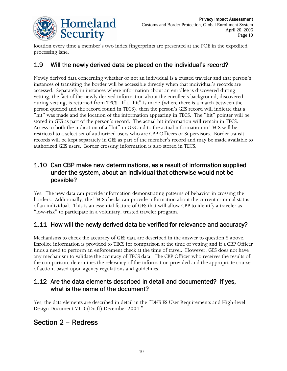

location every time a member's two index fingerprints are presented at the POE in the expedited processing lane.

### 1.9 Will the newly derived data be placed on the individual's record?

Newly derived data concerning whether or not an individual is a trusted traveler and that person's instances of transiting the border will be accessible directly when that individual's records are accessed. Separately in instances where information about an enrollee is discovered during vetting, the fact of the newly derived information about the enrollee's background, discovered during vetting, is returned from TECS. If a "hit" is made (where there is a match between the person queried and the record found in TECS), then the person's GES record will indicate that a "hit" was made and the location of the information appearing in TECS. The "hit" pointer will be stored in GES as part of the person's record. The actual hit information will remain in TECS. Access to both the indication of a "hit" in GES and to the actual information in TECS will be restricted to a select set of authorized users who are CBP Officers or Supervisors. Border transit records will be kept separately in GES as part of the member's record and may be made available to authorized GES users. Border crossing information is also stored in TECS.

### 1.10 Can CBP make new determinations, as a result of information supplied under the system, about an individual that otherwise would not be possible?

Yes. The new data can provide information demonstrating patterns of behavior in crossing the borders. Additionally, the TECS checks can provide information about the current criminal status of an individual. This is an essential feature of GES that will allow CBP to identify a traveler as "low-risk" to participate in a voluntary, trusted traveler program.

### 1.11 How will the newly derived data be verified for relevance and accuracy?

Mechanisms to check the accuracy of GES data are described in the answer to question 5 above. Enrollee information is provided to TECS for comparison at the time of vetting and if a CBP Officer finds a need to perform an enforcement check at the time of travel. However, GES does not have any mechanism to validate the accuracy of TECS data. The CBP Officer who receives the results of the comparison, determines the relevancy of the information provided and the appropriate course of action, based upon agency regulations and guidelines.

### 1.12 Are the data elements described in detail and documented? If yes, what is the name of the document?

Yes, the data elements are described in detail in the "DHS ES User Requirements and High-level Design Document V1.0 (Draft) December 2004."

## Section 2 – Redress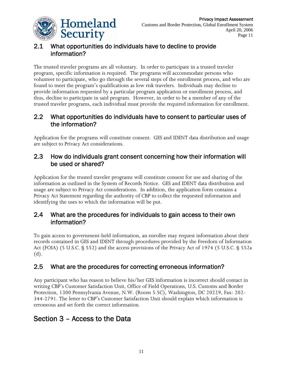

## 2.1 What opportunities do individuals have to decline to provide information?

The trusted traveler programs are all voluntary. In order to participate in a trusted traveler program, specific information is required. The programs will accommodate persons who volunteer to participate, who go through the several steps of the enrollment process, and who are found to meet the program's qualifications as low risk travelers. Individuals may decline to provide information requested by a particular program application or enrollment process, and thus, decline to participate in said program. However, in order to be a member of any of the trusted traveler programs, each individual must provide the required information for enrollment.

### 2.2 What opportunities do individuals have to consent to particular uses of the information?

Application for the programs will constitute consent. GES and IDENT data distribution and usage are subject to Privacy Act considerations.

### 2.3 How do individuals grant consent concerning how their information will be used or shared?

Application for the trusted traveler programs will constitute consent for use and sharing of the information as outlined in the System of Records Notice. GES and IDENT data distribution and usage are subject to Privacy Act considerations. In addition, the application form contains a Privacy Act Statement regarding the authority of CBP to collect the requested information and identifying the uses to which the information will be put.

### 2.4 What are the procedures for individuals to gain access to their own information?

To gain access to government-held information, an enrollee may request information about their records contained in GES and IDENT through procedures provided by the Freedom of Information Act (FOIA) (5 U.S.C. § 552) and the access provisions of the Privacy Act of 1974 (5 U.S.C. § 552a (d).

## 2.5 What are the procedures for correcting erroneous information?

Any participant who has reason to believe his/her GES information is incorrect should contact in writing CBP's Customer Satisfaction Unit, Office of Field Operations, U.S. Customs and Border Protection, 1300 Pennsylvania Avenue, N.W. (Room 5.5C), Washington, DC 20229, Fax: 202- 344-2791. The letter to CBP's Customer Satisfaction Unit should explain which information is erroneous and set forth the correct information.

# Section 3 – Access to the Data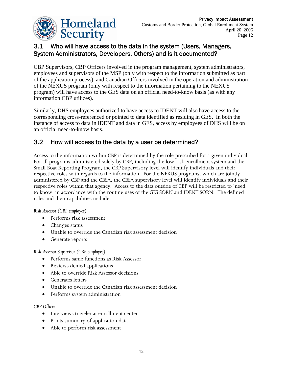

### 3.1 Who will have access to the data in the system (Users, Managers, System Administrators, Developers, Others) and is it documented?

CBP Supervisors, CBP Officers involved in the program management, system administrators, employees and supervisors of the MSP (only with respect to the information submitted as part of the application process), and Canadian Officers involved in the operation and administration of the NEXUS program (only with respect to the information pertaining to the NEXUS program) will have access to the GES data on an official need-to-know basis (as with any information CBP utilizes).

Similarly, DHS employees authorized to have access to IDENT will also have access to the corresponding cross-referenced or pointed to data identified as residing in GES. In both the instance of access to data in IDENT and data in GES, access by employees of DHS will be on an official need-to-know basis.

### 3.2 How will access to the data by a user be determined?

Access to the information within CBP is determined by the role prescribed for a given individual. For all programs administered solely by CBP, including the low-risk enrollment system and the Small Boat Reporting Program, the CBP Supervisory level will identify individuals and their respective roles with regards to the information. For the NEXUS programs, which are jointly administered by CBP and the CBSA, the CBSA supervisory level will identify individuals and their respective roles within that agency. Access to the data outside of CBP will be restricted to 'need to know' in accordance with the routine uses of the GES SORN and IDENT SORN. The defined roles and their capabilities include:

*Risk Assessor (CBP employee)* 

- Performs risk assessment
- Changes status
- Unable to override the Canadian risk assessment decision
- Generate reports

*Risk Assessor Supervisor (CBP employee)* 

- Performs same functions as Risk Assessor
- Reviews denied applications
- Able to override Risk Assessor decisions
- Generates letters
- Unable to override the Canadian risk assessment decision
- Performs system administration

*CBP Officer* 

- Interviews traveler at enrollment center
- Prints summary of application data
- Able to perform risk assessment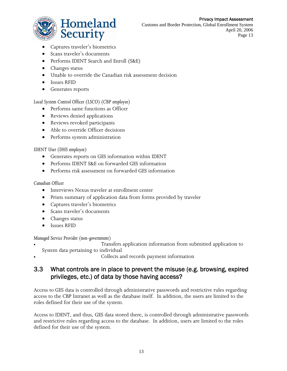#### Privacy Impact Assessment



Customs and Border Protection, Global Enrollment System April 20, 2006 Page 13

- Captures traveler's biometrics
- Scans traveler's documents
- Performs IDENT Search and Enroll (S&E)
- Changes status
- Unable to override the Canadian risk assessment decision
- Issues RFID
- Generates reports

*Local System Control Officer (LSCO) (CBP employee)* 

- Performs same functions as Officer
- Reviews denied applications
- Reviews revoked participants
- Able to override Officer decisions
- Performs system administration

#### *IDENT User (DHS employee)*

- Generates reports on GES information within IDENT
- Performs IDENT S&E on forwarded GES information
- Performs risk assessment on forwarded GES information

#### *Canadian Officer*

- Interviews Nexus traveler at enrollment center
- Prints summary of application data from forms provided by traveler
- Captures traveler's biometrics
- Scans traveler's documents
- Changes status
- Issues RFID

#### *Managed Service Provider (non-government)*

• Transfers application information from submitted application to System data pertaining to individual

• Collects and records payment information

### 3.3 What controls are in place to prevent the misuse (e.g. browsing, expired privileges, etc.) of data by those having access?

Access to GES data is controlled through administrative passwords and restrictive rules regarding access to the CBP Intranet as well as the database itself. In addition, the users are limited to the roles defined for their use of the system.

Access to IDENT, and thus, GES data stored there, is controlled through administrative passwords and restrictive rules regarding access to the database. In addition, users are limited to the roles defined for their use of the system.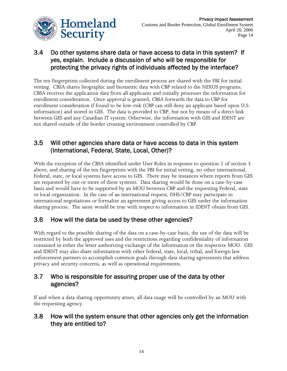

### 3.4 Do other systems share data or have access to data in this system? If yes, explain. Include a discussion of who will be responsible for protecting the privacy rights of individuals affected by the interface?

The ten fingerprints collected during the enrollment process are shared with the FBI for initial vetting. CBSA shares biographic and biometric data with CBP related to the NEXUS programs. CBSA receives the application data from all applicants and initially processes the information for enrollment consideration. Once approval is granted, CBSA forwards the data to CBP for enrollment consideration if found to be low-risk (CBP can still deny an applicant based upon U.S. information) and stored in GES. The data is provided to CBP, but not by means of a direct link between GES and any Canadian IT system. Otherwise, the information with GES and IDENT are not shared outside of the border crossing environment controlled by CBP.

### 3.5 Will other agencies share data or have access to data in this system (International, Federal, State, Local, Other)?

With the exception of the CBSA identified under User Roles in response to question 2 of section 3 above, and sharing of the ten fingerprints with the FBI for initial vetting, no other international, Federal, state, or local systems have access to GES. There may be instances where reports from GES are requested by one or more of these systems. Data sharing would be done on a case-by-case basis and would have to be supported by an MOU between CBP and the requesting Federal, state or local organization. In the case of an international request, DHS/CBP may participate in international negotiations or formalize an agreement giving access to GES under the information sharing process. The same would be true with respect to information in IDENT obtain from GES.

### 3.6 How will the data be used by these other agencies?

With regard to the possible sharing of the data on a case-by-case basis, the use of the data will be restricted by both the approved uses and the restrictions regarding confidentiality of information contained in either the letter authorizing exchange of the information or the respective MOU. GES and IDENT may also share information with other federal, state, local, tribal, and foreign law enforcement partners to accomplish common goals through data sharing agreements that address privacy and security concerns, as well as operational requirements.

### 3.7 Who is responsible for assuring proper use of the data by other agencies?

If and when a data sharing opportunity arises, all data usage will be controlled by an MOU with the requesting agency.

### 3.8 How will the system ensure that other agencies only get the information they are entitled to?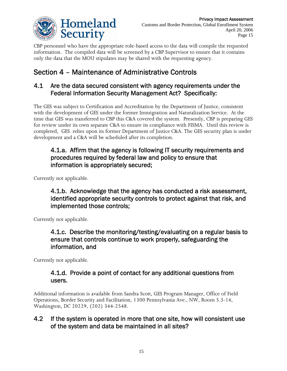

CBP personnel who have the appropriate role-based access to the data will compile the requested information. The compiled data will be screened by a CBP Supervisor to ensure that it contains only the data that the MOU stipulates may be shared with the requesting agency.

# Section 4 – Maintenance of Administrative Controls

### 4.1 Are the data secured consistent with agency requirements under the Federal Information Security Management Act? Specifically:

The GES was subject to Certification and Accreditation by the Department of Justice, consistent with the development of GES under the former Immigration and Naturalization Service. At the time that GES was transferred to CBP this C&A covered the system. Presently, CBP is preparing GES for review under its own separate C&A to ensure its compliance with FISMA. Until this review is completed, GES relies upon its former Department of Justice C&A. The GES security plan is under development and a C&A will be scheduled after its completion.

### 4.1.a. Affirm that the agency is following IT security requirements and procedures required by federal law and policy to ensure that information is appropriately secured;

Currently not applicable.

4.1.b. Acknowledge that the agency has conducted a risk assessment, identified appropriate security controls to protect against that risk, and implemented those controls;

Currently not applicable.

### 4.1.c. Describe the monitoring/testing/evaluating on a regular basis to ensure that controls continue to work properly, safeguarding the information, and

Currently not applicable.

### 4.1.d. Provide a point of contact for any additional questions from users.

Additional information is available from Sandra Scott, GES Program Manager, Office of Field Operations, Border Security and Facilitation, 1300 Pennsylvania Ave., NW, Room 5.3-14, Washington, DC 20229, (202) 344-2548.

### 4.2 If the system is operated in more that one site, how will consistent use of the system and data be maintained in all sites?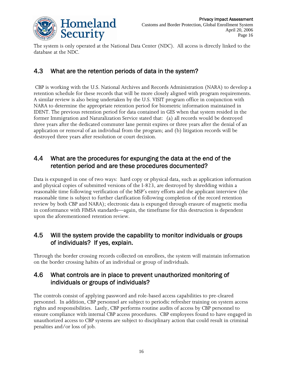

The system is only operated at the National Data Center (NDC). All access is directly linked to the database at the NDC.

### 4.3 What are the retention periods of data in the system?

 CBP is working with the U.S. National Archives and Records Administration (NARA) to develop a retention schedule for these records that will be more closely aligned with program requirements. A similar review is also being undertaken by the U.S. VISIT program office in conjunction with NARA to determine the appropriate retention period for biometric information maintained in IDENT. The previous retention period for data contained in GES when that system resided in the former Immigration and Naturalization Service stated that: (a) all records would be destroyed three years after the dedicated commuter lane permit expires or three years after the denial of an application or removal of an individual from the program; and (b) litigation records will be destroyed three years after resolution or court decision.

### 4.4 What are the procedures for expunging the data at the end of the retention period and are these procedures documented?

Data is expunged in one of two ways: hard copy or physical data, such as application information and physical copies of submitted versions of the I-823, are destroyed by shredding within a reasonable time following verification of the MSP's entry efforts and the applicant interview (the reasonable time is subject to further clarification following completion of the record retention review by both CBP and NARA); electronic data is expunged through erasure of magnetic media in conformance with FIMSA standards—again, the timeframe for this destruction is dependent upon the aforementioned retention review.

### 4.5 Will the system provide the capability to monitor individuals or groups of individuals? If yes, explain.

Through the border crossing records collected on enrollees, the system will maintain information on the border crossing habits of an individual or group of individuals.

### 4.6 What controls are in place to prevent unauthorized monitoring of individuals or groups of individuals?

The controls consist of applying password and role-based access capabilities to pre-cleared personnel. In addition, CBP personnel are subject to periodic refresher training on system access rights and responsibilities. Lastly, CBP performs routine audits of access by CBP personnel to ensure compliance with internal CBP access procedures. CBP employees found to have engaged in unauthorized access to CBP systems are subject to disciplinary action that could result in criminal penalties and/or loss of job.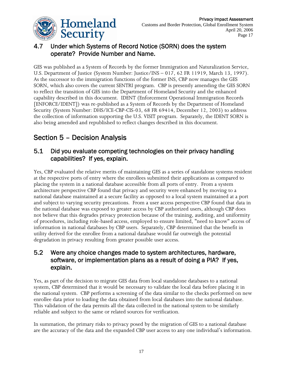

## 4.7 Under which Systems of Record Notice (SORN) does the system operate? Provide Number and Name.

GES was published as a System of Records by the former Immigration and Naturalization Service, U.S. Department of Justice (System Number: Justice/INS – 017, 62 FR 11919, March 13, 1997). As the successor to the immigration functions of the former INS, CBP now manages the GES SORN, which also covers the current SENTRI program. CBP is presently amending the GES SORN to reflect the transition of GES into the Department of Homeland Security and the enhanced capability described in this document. IDENT (Enforcement Operational Immigration Records [ENFORCE/IDENT]) was re-published as a System of Records by the Department of Homeland Security (System Number: DHS/ICE-CBP-CIS-03, 68 FR 69414, December 12, 2003) to address the collection of information supporting the U.S. VISIT program. Separately, the IDENT SORN is also being amended and republished to reflect changes described in this document.

# Section 5 – Decision Analysis

### 5.1 Did you evaluate competing technologies on their privacy handling capabilities? If yes, explain.

Yes, CBP evaluated the relative merits of maintaining GES as a series of standalone systems resident at the respective ports of entry where the enrollees submitted their applications as compared to placing the system in a national database accessible from all ports of entry. From a system architecture perspective CBP found that privacy and security were enhanced by moving to a national database maintained at a secure facility as opposed to a local system maintained at a port and subject to varying security precautions. From a user access perspective CBP found that data in the national database was exposed to greater access by CBP authorized users, although CBP does not believe that this degrades privacy protection because of the training, auditing, and uniformity of procedures, including role-based access, employed to ensure limited, "need to know" access of information in national databases by CBP users. Separately, CBP determined that the benefit in utility derived for the enrollee from a national database would far outweigh the potential degradation in privacy resulting from greater possible user access.

### 5.2 Were any choice changes made to system architectures, hardware, software, or implementation plans as a result of doing a PIA? If yes, explain.

Yes, as part of the decision to migrate GES data from local standalone databases to a national system, CBP determined that it would be necessary to validate the local data before placing it in the national system. CBP performs a screening of the data similar to the checks performed on new enrollee data prior to loading the data obtained from local databases into the national database. This validation of the data permits all the data collected in the national system to be similarly reliable and subject to the same or related sources for verification.

In summation, the primary risks to privacy posed by the migration of GES to a national database are the accuracy of the data and the expanded CBP user access to any one individual's information.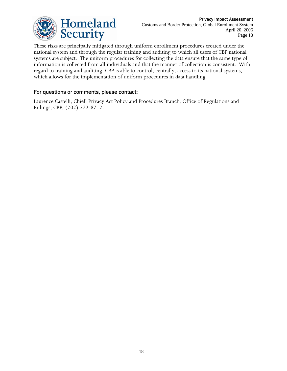

These risks are principally mitigated through uniform enrollment procedures created under the national system and through the regular training and auditing to which all users of CBP national systems are subject. The uniform procedures for collecting the data ensure that the same type of information is collected from all individuals and that the manner of collection is consistent. With regard to training and auditing, CBP is able to control, centrally, access to its national systems, which allows for the implementation of uniform procedures in data handling.

#### For questions or comments, please contact:

Laurence Castelli, Chief, Privacy Act Policy and Procedures Branch, Office of Regulations and Rulings, CBP, (202) 572-8712.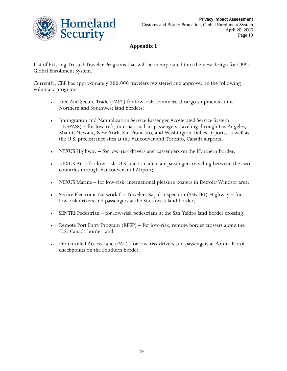

Homeland Security

**Appendix 1** 

List of Existing Trusted Traveler Programs that will be incorporated into the new design for CBP's Global Enrollment System.

Currently, CBP has approximately 200,000 travelers registered and approved in the following voluntary programs:

- Free And Secure Trade (FAST) for low-risk, commercial cargo shipments at the Northern and Southwest land borders;
- Immigration and Naturalization Service Passenger Accelerated Service System (INSPASS) – for low-risk, international air passengers traveling through Los Angeles, Miami, Newark, New York, San Francisco, and Washington-Dulles airports, as well as the U.S. preclearance sites at the Vancouver and Toronto, Canada airports.
- NEXUS Highway for low-risk drivers and passengers on the Northern border;
- NEXUS Air for low-risk, U.S. and Canadian air passengers traveling between the two countries through Vancouver Int'l Airport;
- NEXUS Marine for low-risk, international pleasure boaters in Detroit/Windsor area;
- Secure Electronic Network for Travelers Rapid Inspection (SENTRI) Highway for low-risk drivers and passengers at the Southwest land border;
- SENTRI Pedestrian for low-risk pedestrians at the San Ysidro land border crossing;
- Remote Port Entry Program (RPEP) for low-risk, remote border crossers along the U.S.-Canada border; and
- Pre-enrolled Access Lane (PAL)- for low-risk drivers and passengers at Border Patrol checkpoints on the Southern border.